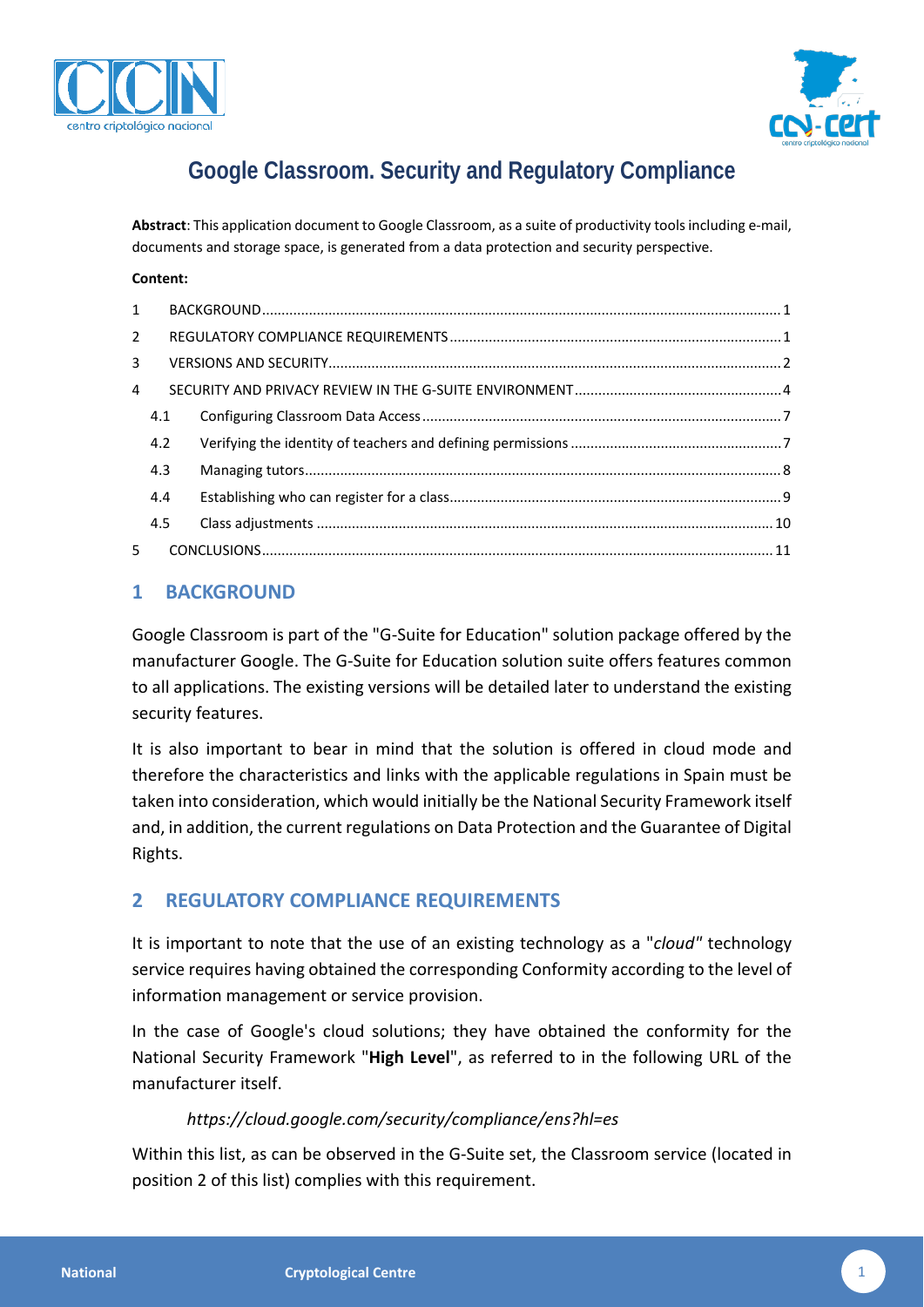



# **Google Classroom. Security and Regulatory Compliance**

**Abstract**: This application document to Google Classroom, as a suite of productivity tools including e-mail, documents and storage space, is generated from a data protection and security perspective.

#### **Content:**

| $1 \quad$   |     |  |
|-------------|-----|--|
| $2^{\circ}$ |     |  |
| 3           |     |  |
| 4           |     |  |
|             | 4.1 |  |
|             | 4.2 |  |
|             | 4.3 |  |
|             | 4.4 |  |
|             | 4.5 |  |
| 5           |     |  |

## <span id="page-0-0"></span>**1 BACKGROUND**

Google Classroom is part of the "G-Suite for Education" solution package offered by the manufacturer Google. The G-Suite for Education solution suite offers features common to all applications. The existing versions will be detailed later to understand the existing security features.

It is also important to bear in mind that the solution is offered in cloud mode and therefore the characteristics and links with the applicable regulations in Spain must be taken into consideration, which would initially be the National Security Framework itself and, in addition, the current regulations on Data Protection and the Guarantee of Digital Rights.

# <span id="page-0-1"></span>**2 REGULATORY COMPLIANCE REQUIREMENTS**

It is important to note that the use of an existing technology as a "*cloud"* technology service requires having obtained the corresponding Conformity according to the level of information management or service provision.

In the case of Google's cloud solutions; they have obtained the conformity for the National Security Framework "**High Level**", as referred to in the following URL of the manufacturer itself.

## *https://cloud.google.com/security/compliance/ens?hl=es*

Within this list, as can be observed in the G-Suite set, the Classroom service (located in position 2 of this list) complies with this requirement.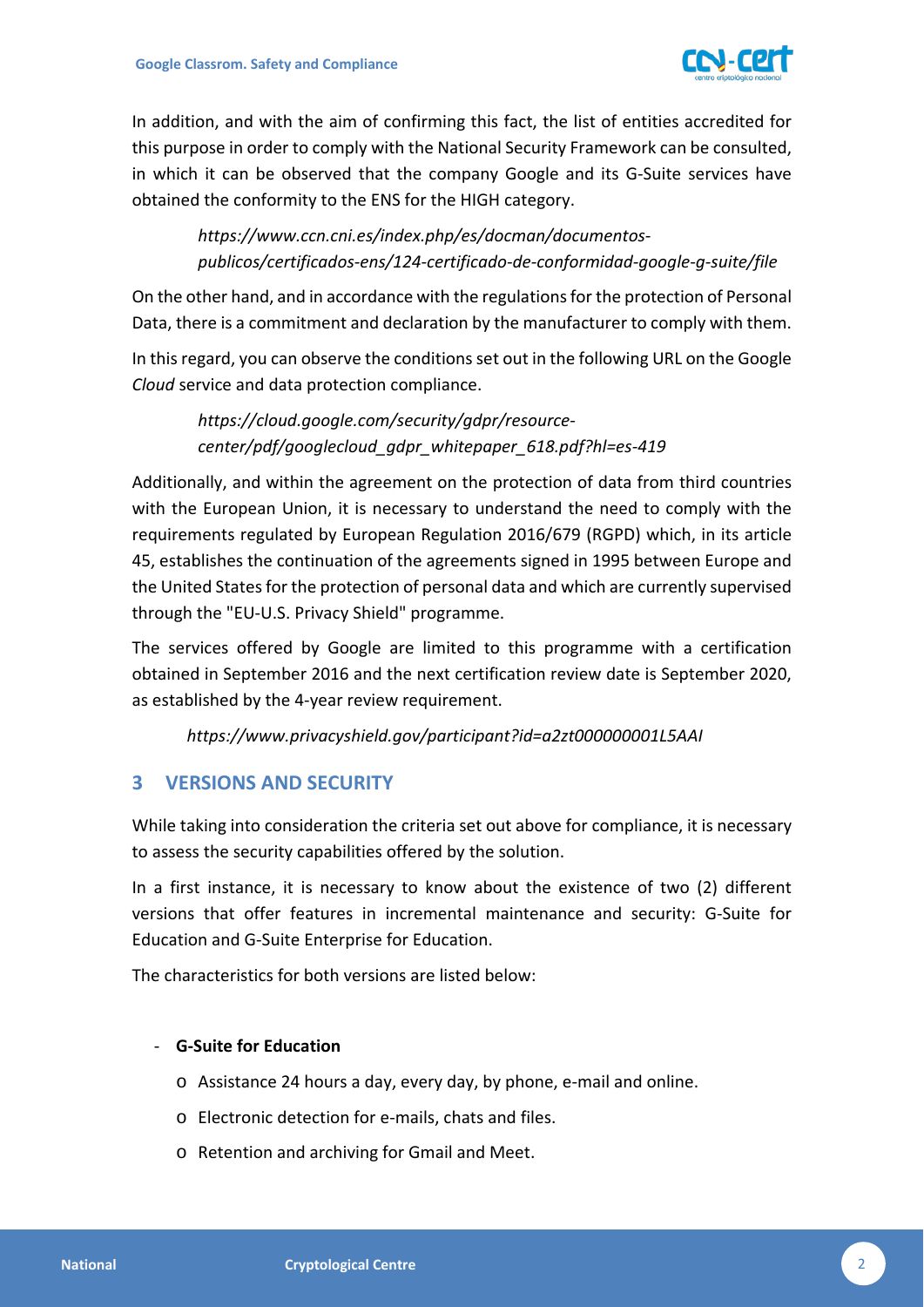

In addition, and with the aim of confirming this fact, the list of entities accredited for this purpose in order to comply with the National Security Framework can be consulted, in which it can be observed that the company Google and its G-Suite services have obtained the conformity to the ENS for the HIGH category.

*https://www.ccn.cni.es/index.php/es/docman/documentospublicos/certificados-ens/124-certificado-de-conformidad-google-g-suite/file*

On the other hand, and in accordance with the regulations for the protection of Personal Data, there is a commitment and declaration by the manufacturer to comply with them.

In this regard, you can observe the conditions set out in the following URL on the Google *Cloud* service and data protection compliance.

*https://cloud.google.com/security/gdpr/resourcecenter/pdf/googlecloud\_gdpr\_whitepaper\_618.pdf?hl=es-419*

Additionally, and within the agreement on the protection of data from third countries with the European Union, it is necessary to understand the need to comply with the requirements regulated by European Regulation 2016/679 (RGPD) which, in its article 45, establishes the continuation of the agreements signed in 1995 between Europe and the United States for the protection of personal data and which are currently supervised through the "EU-U.S. Privacy Shield" programme.

The services offered by Google are limited to this programme with a certification obtained in September 2016 and the next certification review date is September 2020, as established by the 4-year review requirement.

*https://www.privacyshield.gov/participant?id=a2zt000000001L5AAI*

# <span id="page-1-0"></span>**3 VERSIONS AND SECURITY**

While taking into consideration the criteria set out above for compliance, it is necessary to assess the security capabilities offered by the solution.

In a first instance, it is necessary to know about the existence of two (2) different versions that offer features in incremental maintenance and security: G-Suite for Education and G-Suite Enterprise for Education.

The characteristics for both versions are listed below:

## - **G-Suite for Education**

- o Assistance 24 hours a day, every day, by phone, e-mail and online.
- o Electronic detection for e-mails, chats and files.
- o Retention and archiving for Gmail and Meet.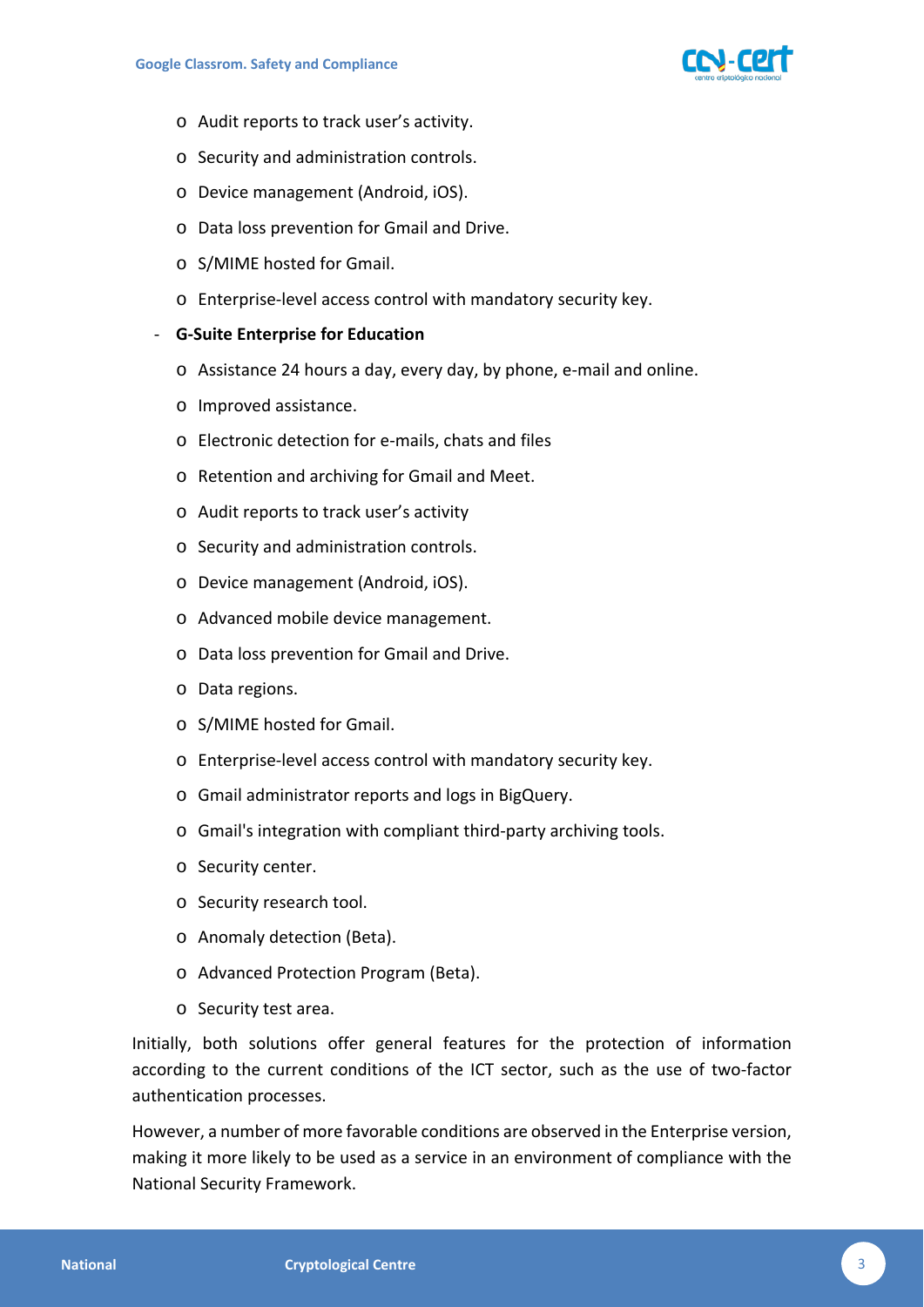

- o Audit reports to track user's activity.
- o Security and administration controls.
- o Device management (Android, iOS).
- o Data loss prevention for Gmail and Drive.
- o S/MIME hosted for Gmail.
- o Enterprise-level access control with mandatory security key.

#### - **G-Suite Enterprise for Education**

- o Assistance 24 hours a day, every day, by phone, e-mail and online.
- o Improved assistance.
- o Electronic detection for e-mails, chats and files
- o Retention and archiving for Gmail and Meet.
- o Audit reports to track user's activity
- o Security and administration controls.
- o Device management (Android, iOS).
- o Advanced mobile device management.
- o Data loss prevention for Gmail and Drive.
- o Data regions.
- o S/MIME hosted for Gmail.
- o Enterprise-level access control with mandatory security key.
- o Gmail administrator reports and logs in BigQuery.
- o Gmail's integration with compliant third-party archiving tools.
- o Security center.
- o Security research tool.
- o Anomaly detection (Beta).
- o Advanced Protection Program (Beta).
- o Security test area.

Initially, both solutions offer general features for the protection of information according to the current conditions of the ICT sector, such as the use of two-factor authentication processes.

However, a number of more favorable conditions are observed in the Enterprise version, making it more likely to be used as a service in an environment of compliance with the National Security Framework.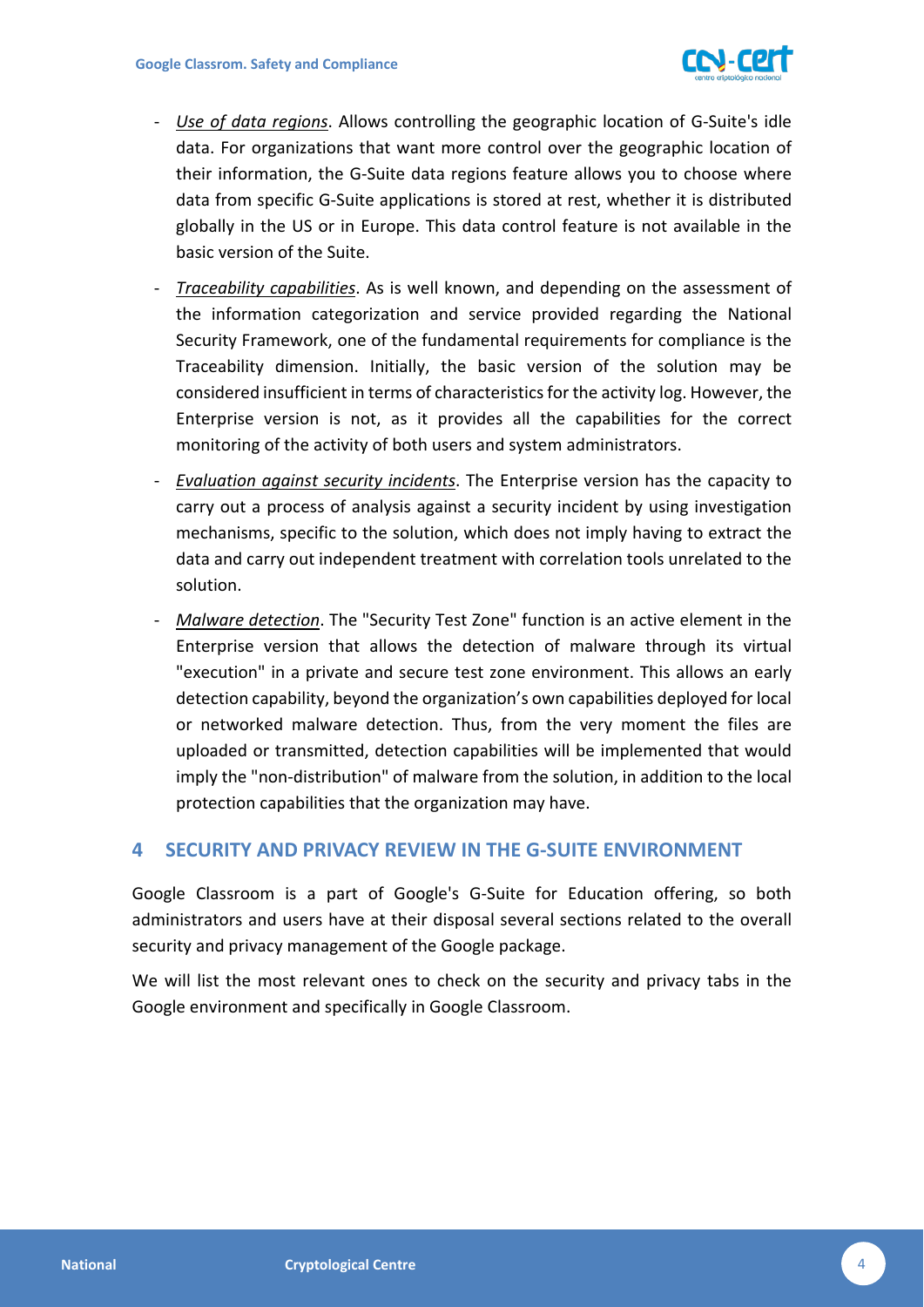

- *Use of data regions*. Allows controlling the geographic location of G-Suite's idle data. For organizations that want more control over the geographic location of their information, the G-Suite data regions feature allows you to choose where data from specific G-Suite applications is stored at rest, whether it is distributed globally in the US or in Europe. This data control feature is not available in the basic version of the Suite.
- *Traceability capabilities*. As is well known, and depending on the assessment of the information categorization and service provided regarding the National Security Framework, one of the fundamental requirements for compliance is the Traceability dimension. Initially, the basic version of the solution may be considered insufficient in terms of characteristics for the activity log. However, the Enterprise version is not, as it provides all the capabilities for the correct monitoring of the activity of both users and system administrators.
- *Evaluation against security incidents*. The Enterprise version has the capacity to carry out a process of analysis against a security incident by using investigation mechanisms, specific to the solution, which does not imply having to extract the data and carry out independent treatment with correlation tools unrelated to the solution.
- *Malware detection*. The "Security Test Zone" function is an active element in the Enterprise version that allows the detection of malware through its virtual "execution" in a private and secure test zone environment. This allows an early detection capability, beyond the organization's own capabilities deployed for local or networked malware detection. Thus, from the very moment the files are uploaded or transmitted, detection capabilities will be implemented that would imply the "non-distribution" of malware from the solution, in addition to the local protection capabilities that the organization may have.

## <span id="page-3-0"></span>**4 SECURITY AND PRIVACY REVIEW IN THE G-SUITE ENVIRONMENT**

Google Classroom is a part of Google's G-Suite for Education offering, so both administrators and users have at their disposal several sections related to the overall security and privacy management of the Google package.

We will list the most relevant ones to check on the security and privacy tabs in the Google environment and specifically in Google Classroom.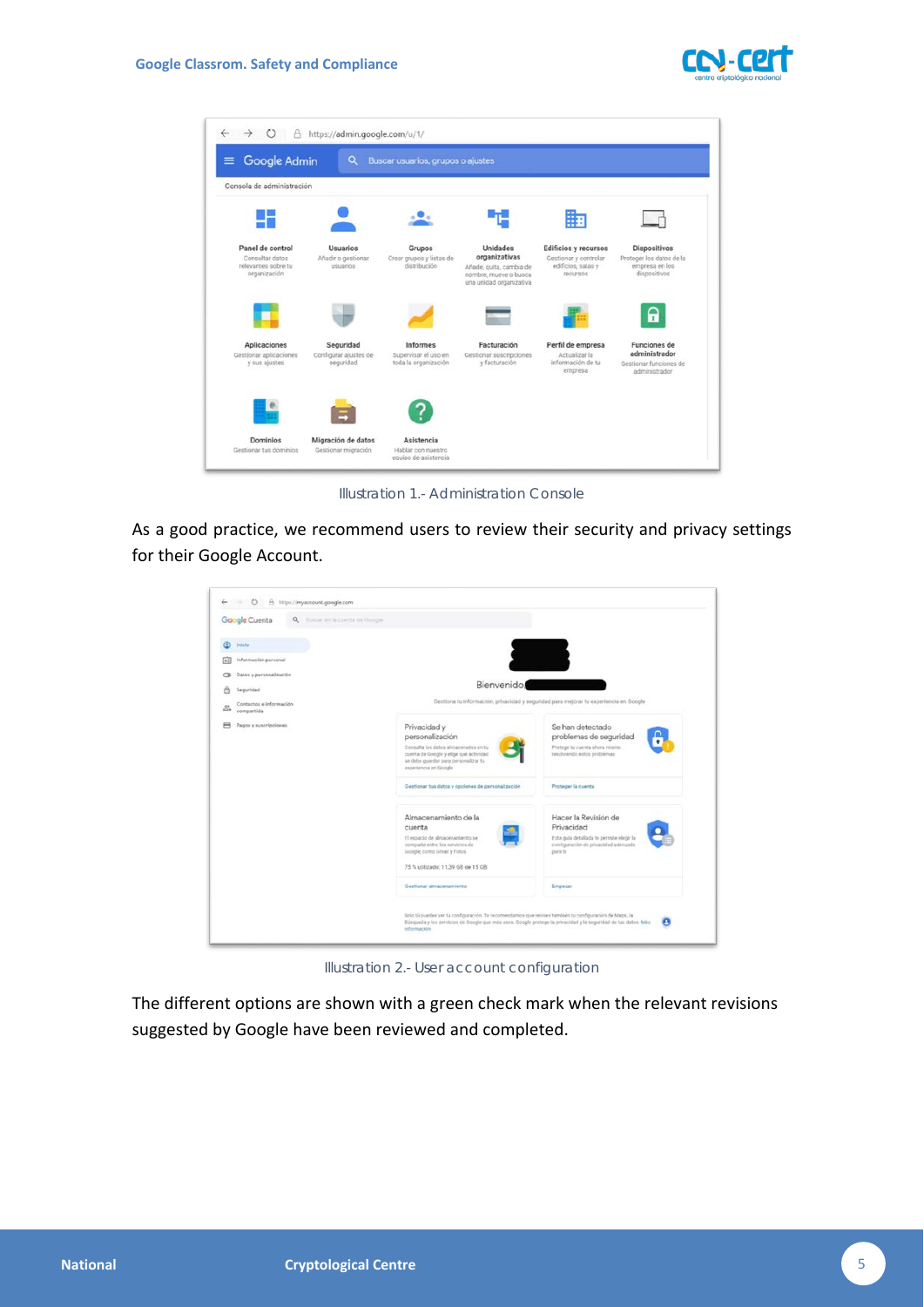



*Illustration 1.- Administration Console*

As a good practice, we recommend users to review their security and privacy settings for their Google Account.

| Google Cuenta<br>Q. Iluscar air la coerta da Occolle. |                                                                                                                                                                                                                                        |                                                                                                                                   |
|-------------------------------------------------------|----------------------------------------------------------------------------------------------------------------------------------------------------------------------------------------------------------------------------------------|-----------------------------------------------------------------------------------------------------------------------------------|
| Inicio                                                |                                                                                                                                                                                                                                        |                                                                                                                                   |
| Información personal                                  |                                                                                                                                                                                                                                        |                                                                                                                                   |
| Datos y personalización<br>$\sim$                     |                                                                                                                                                                                                                                        |                                                                                                                                   |
| Seguridad                                             | Bienvenido!                                                                                                                                                                                                                            |                                                                                                                                   |
| Contactos e Información<br>illis.<br>compartida       |                                                                                                                                                                                                                                        | Gestiona tu información, privacidad y seguridad para mejorar tu experiencia en Google                                             |
| Pagos y suscripciones                                 | Privacidad y<br>personalización<br>Consulta los datos almacenados en tu<br>cuenta de Google y elige qué actividad<br>se debe guardar para personalizar tu<br>experiencia en Google                                                     | Se han detectado<br>problemas de seguridad<br>Protoge tu cuenta ahora mismo<br>resolvendo estos problemas                         |
|                                                       | Gestionar tus datos y opciones de personalización                                                                                                                                                                                      | Proteger la cuenta                                                                                                                |
|                                                       | Almacenamiento de la<br>cuenta<br>El espacio de almacenamiento se<br>comparte entre los servicios de<br>Google, como Gmail y Fotos.<br>75 % utilizado: 11.39 GB de 15 GB                                                               | Hacer la Revisión de<br>Privacidad<br>Esta guia detallada te permite elegir la<br>configuración de privacidad adecuada<br>para tr |
|                                                       | Gestionar almacenamiento                                                                                                                                                                                                               | Empagar                                                                                                                           |
|                                                       | Solo tú puedes ver tu configuración. Te recomendamos que revises también tu configuración de Maps, la<br>Búsqueda y los servicios de Doogle que más uses. Google protege la privacidad y la seguridad de tus datos. Más<br>información | $\boldsymbol{\theta}$                                                                                                             |

*Illustration 2.- User account configuration*

The different options are shown with a green check mark when the relevant revisions suggested by Google have been reviewed and completed.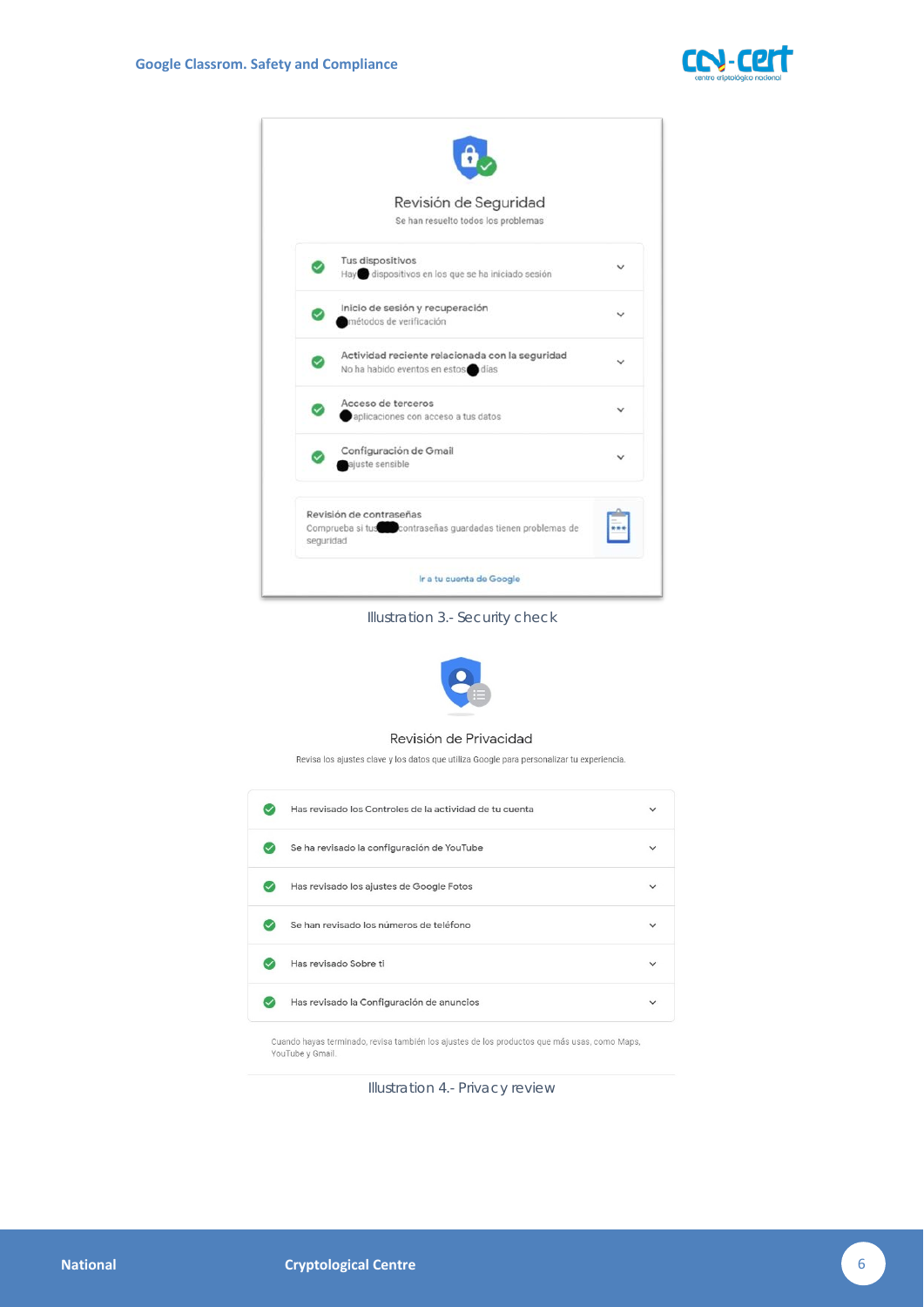



*Illustration 3.- Security check*



#### Revisión de Privacidad

Revisa los ajustes clave y los datos que utiliza Google para personalizar tu experiencia.

| Has revisado los Controles de la actividad de tu cuenta |  |
|---------------------------------------------------------|--|
| Se ha revisado la configuración de YouTube              |  |
| Has revisado los ajustes de Google Fotos                |  |
| Se han revisado los números de teléfono                 |  |
| Has revisado Sobre ti                                   |  |
| Has revisado la Configuración de anuncios               |  |
|                                                         |  |

Cuando hayas terminado, revisa también los ajustes de los productos que más usas, como Maps, YouTube y Gmail.

*Illustration 4.- Privacy review*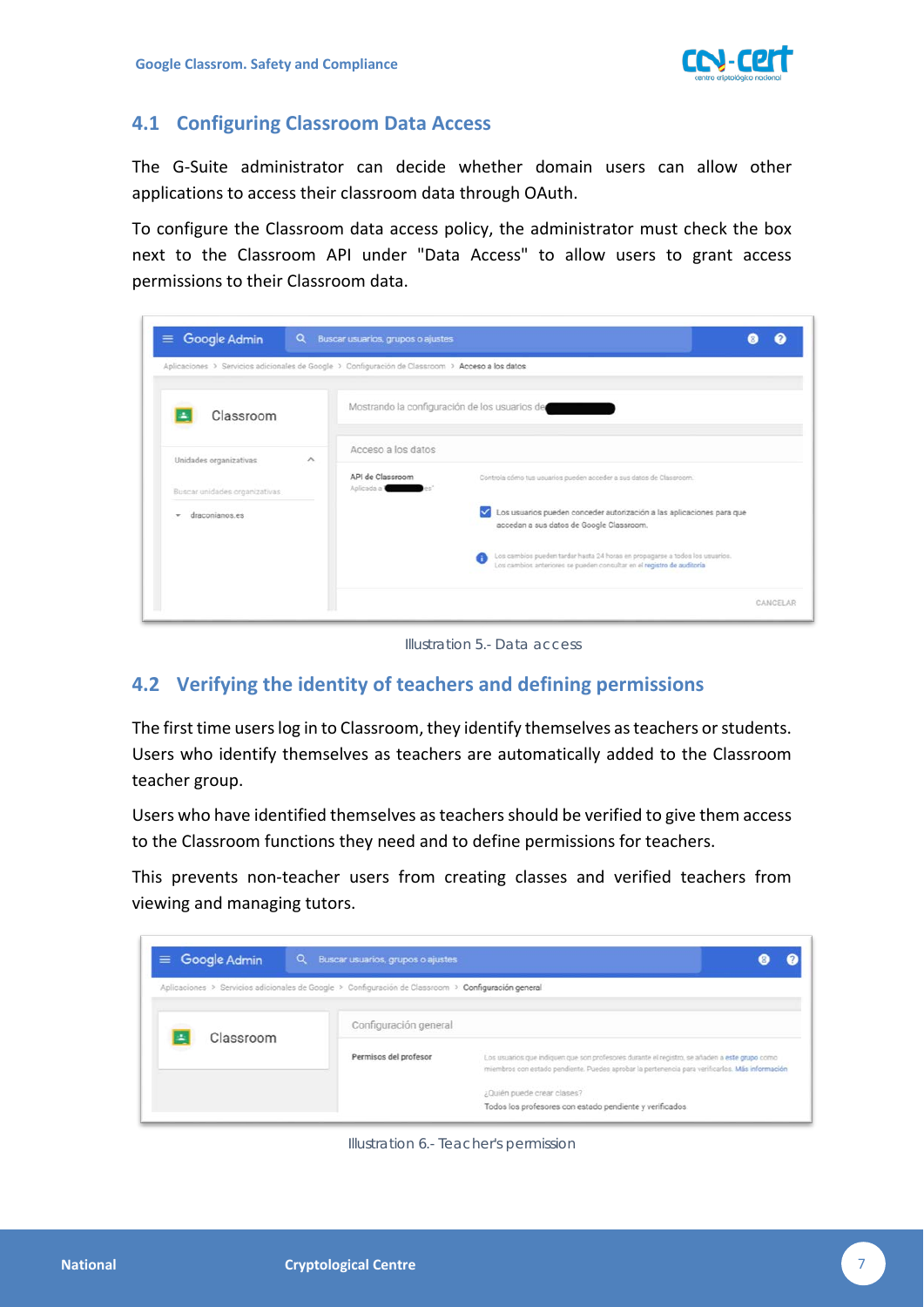

# <span id="page-6-0"></span>**4.1 Configuring Classroom Data Access**

The G-Suite administrator can decide whether domain users can allow other applications to access their classroom data through OAuth.

To configure the Classroom data access policy, the administrator must check the box next to the Classroom API under "Data Access" to allow users to grant access permissions to their Classroom data.

| Aplicaciones > Servicios adicionales de Google > Configuración de Classroom > Acceso a los datos |                                               |                                                                                                                                                        |
|--------------------------------------------------------------------------------------------------|-----------------------------------------------|--------------------------------------------------------------------------------------------------------------------------------------------------------|
| Classroom                                                                                        | Mostrando la configuración de los usuarios de |                                                                                                                                                        |
| Unidades organizativas<br>$\wedge$                                                               | Acceso a los datos                            |                                                                                                                                                        |
| Buscar unidades organizativas                                                                    | API de Classroom<br>Aplicada a 1              | Controla cómo tus usuarios pueden acceder a sus datos de Classroom.                                                                                    |
| draconianos es<br>÷                                                                              |                                               | Los usuarios pueden conceder autorización a las aplicaciones para que<br>◡<br>accedan a sus datos de Google Classroom.                                 |
|                                                                                                  |                                               | Los cambios pueden tardar hasta 24 horas en propagarse a todos los usuarios.<br>Los cambios anteriores se pueden consultar en el registro de auditoria |

*Illustration 5.- Data access*

# <span id="page-6-1"></span>**4.2 Verifying the identity of teachers and defining permissions**

The first time users log in to Classroom, they identify themselves as teachers or students. Users who identify themselves as teachers are automatically added to the Classroom teacher group.

Users who have identified themselves as teachers should be verified to give them access to the Classroom functions they need and to define permissions for teachers.

This prevents non-teacher users from creating classes and verified teachers from viewing and managing tutors.

| Google Admin<br>Ξ.<br>Q.                                                                            | Buscar usuarios, grupos o ajustes |                                                                                                                                                                                                  |
|-----------------------------------------------------------------------------------------------------|-----------------------------------|--------------------------------------------------------------------------------------------------------------------------------------------------------------------------------------------------|
| Aplicaciones > Servicios adicionales de Google > Configuración de Classroom > Configuración general |                                   |                                                                                                                                                                                                  |
| Classroom<br>÷                                                                                      | Configuración general             |                                                                                                                                                                                                  |
|                                                                                                     | Permisos del profesor             | Los usuarios que indiquen que son profesores durante el registro, se añaden a este grupo como<br>miembros con estado pendiente. Puedes aprobar la pertenencia para verificarlos. Más información |
|                                                                                                     |                                   | ¿Quién puede crear clases?<br>Todos los profesores con estado pendiente y verificados                                                                                                            |

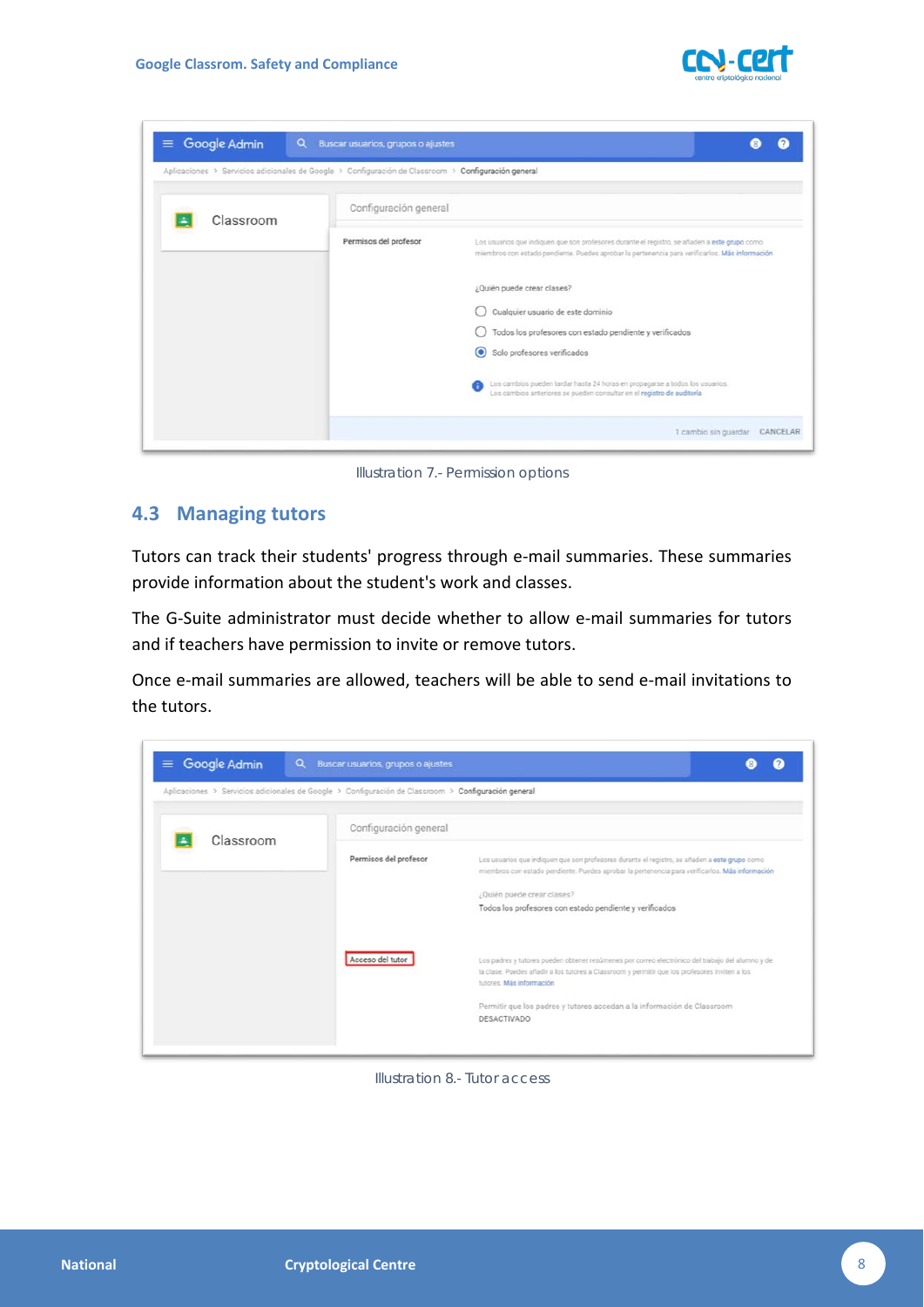

| Google Admin<br>Q<br>$\equiv$                                                                       | Buscar usuarios, grupos o ajustes |                                                                                                                                                                                                  |
|-----------------------------------------------------------------------------------------------------|-----------------------------------|--------------------------------------------------------------------------------------------------------------------------------------------------------------------------------------------------|
| Aplicaciones > Servicios adicionales de Google > Configuración de Classroom > Configuración general |                                   |                                                                                                                                                                                                  |
| Classroom                                                                                           | Configuración general             |                                                                                                                                                                                                  |
|                                                                                                     | Permisos del profesor             | Los usuarios que indiquen que son profesores durante el registro, se añaden a este grupo como<br>miembros con estado pendiente. Puedes aprobar la pertenencia para verificarlos. Más información |
|                                                                                                     |                                   | ¿Quién puede crear clases?                                                                                                                                                                       |
|                                                                                                     |                                   | Cualquier usuario de este dominio<br>Todos los profesores con estado pendiente y verificados                                                                                                     |
|                                                                                                     |                                   | $\odot$<br>Solo profesores verificados                                                                                                                                                           |
|                                                                                                     |                                   | Los cambios pueden tardar hasta 24 horas en propagarse a todos los usuarios.<br>Los cambios anteriores se pueden consultar en el registro de auditoria                                           |
|                                                                                                     |                                   | 1 cambio sin guardar<br>CANCELAR                                                                                                                                                                 |

*Illustration 7.- Permission options*

#### <span id="page-7-0"></span>**4.3 Managing tutors**

Tutors can track their students' progress through e-mail summaries. These summaries provide information about the student's work and classes.

The G-Suite administrator must decide whether to allow e-mail summaries for tutors and if teachers have permission to invite or remove tutors.

Once e-mail summaries are allowed, teachers will be able to send e-mail invitations to the tutors.



*Illustration 8.- Tutor access*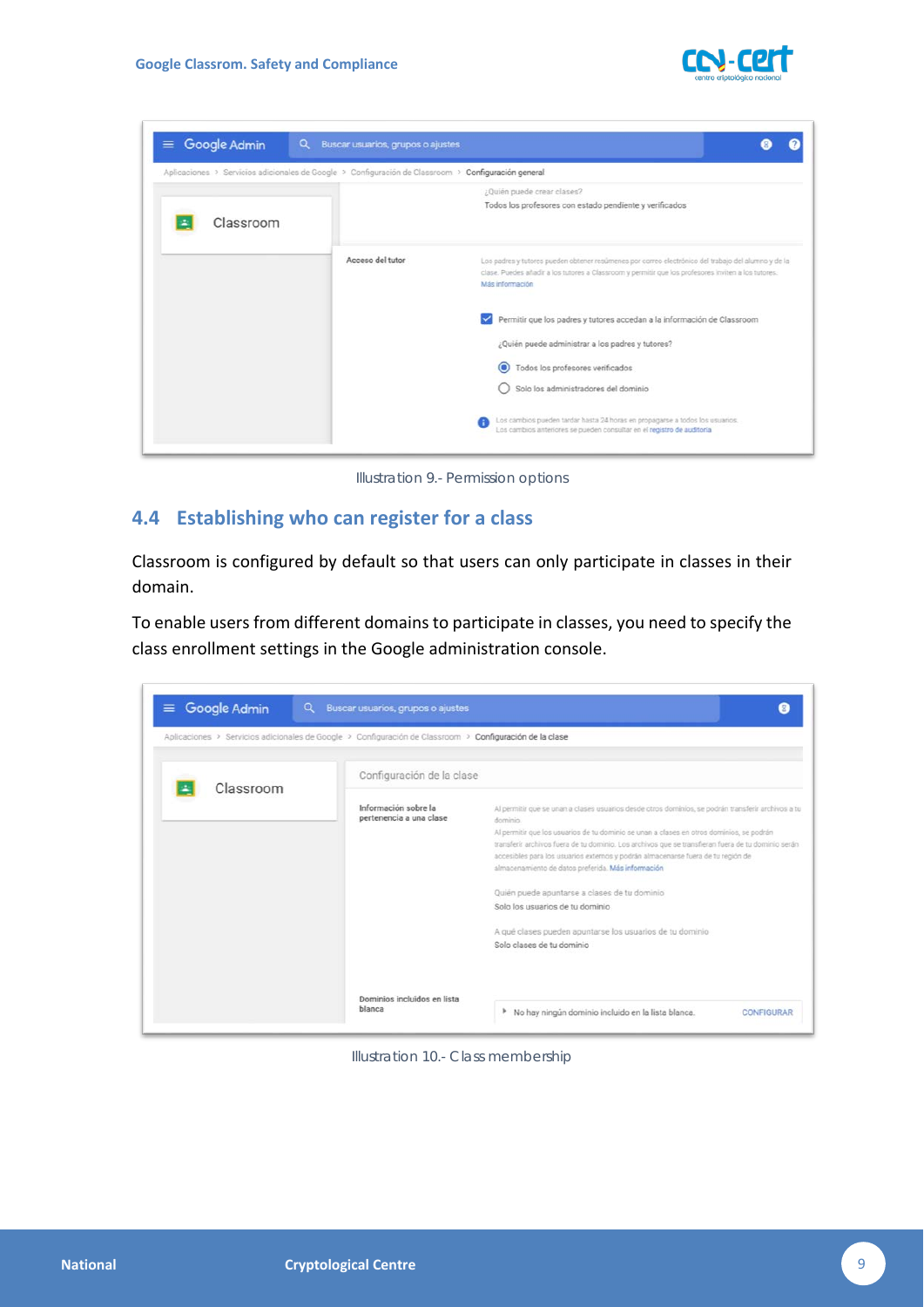

| $\equiv$ Google Admin<br>Q                                                                          | Buscar usuarios, grupos o ajustes |                                                                                                                                                                                                                               |
|-----------------------------------------------------------------------------------------------------|-----------------------------------|-------------------------------------------------------------------------------------------------------------------------------------------------------------------------------------------------------------------------------|
| Aplicaciones > Servicios adicionales de Google > Configuración de Classroom > Configuración general |                                   |                                                                                                                                                                                                                               |
| Classroom                                                                                           |                                   | ¿Quién puede crear clases?<br>Todos los profesores con estado pendiente y verificados                                                                                                                                         |
|                                                                                                     | Acceso del tutor                  | Los padres y tutores pueden obtener resúmenes por correo electrónico del trabajo del alumno y de la<br>clase. Puedes añadir a los tutores a Classroom y permitir que los profesores inviten a los tutores.<br>Más información |
|                                                                                                     |                                   | Permitir que los padres y tutores accedan a la información de Classroom                                                                                                                                                       |
|                                                                                                     |                                   | ¿Quién puede administrar a los padres y tutores?                                                                                                                                                                              |
|                                                                                                     |                                   | Todos los profesores verificados<br>$\odot$                                                                                                                                                                                   |
|                                                                                                     |                                   | Solo los administradores del dominio                                                                                                                                                                                          |
|                                                                                                     |                                   | Los cambios pueden tardar hasta 24 horas en propagarse a todos los usuarios.<br>Los cambios anteriores se pueden consultar en el registro de auditoria                                                                        |

*Illustration 9.- Permission options*

# <span id="page-8-0"></span>**4.4 Establishing who can register for a class**

Classroom is configured by default so that users can only participate in classes in their domain.

To enable users from different domains to participate in classes, you need to specify the class enrollment settings in the Google administration console.

| Aplicaciones > Servicios adicionales de Google > Configuración de Classroom > Configuración de la clase |                                                 |                                                                                                                                                                                                                                                                                                                                                                                                                                                                                                                                                                                                                                        |
|---------------------------------------------------------------------------------------------------------|-------------------------------------------------|----------------------------------------------------------------------------------------------------------------------------------------------------------------------------------------------------------------------------------------------------------------------------------------------------------------------------------------------------------------------------------------------------------------------------------------------------------------------------------------------------------------------------------------------------------------------------------------------------------------------------------------|
| Classroom                                                                                               | Configuración de la clase                       |                                                                                                                                                                                                                                                                                                                                                                                                                                                                                                                                                                                                                                        |
|                                                                                                         | Información sobre la<br>pertenencia a una clase | Al permitir que se unan a clases usuarios desde otros dominios, se podrán transferir archivos a tu<br>dominio.<br>Al permitir que los usuarios de tu dominio se unan a clases en otros dominios, se podrán<br>transferir archivos fuera de tu dominio. Los archivos que se transfieran fuera de tu dominio serán<br>accesibles para los usuarios externos y podrán almacenarse fuera de tu región de<br>almacenamiento de datos preferida. Más información<br>Quién puede apuntarse a clases de tu dominio<br>Solo los usuarios de tu dominio<br>A qué clases pueden apuntarse los usuarios de tu dominio<br>Solo clases de tu dominio |
|                                                                                                         | Dominios incluidos en lista<br>blanca           | No hay ningún dominio incluido en la lista blanca.<br>٠<br><b>CONFIGURAR</b>                                                                                                                                                                                                                                                                                                                                                                                                                                                                                                                                                           |

*Illustration 10.- Class membership*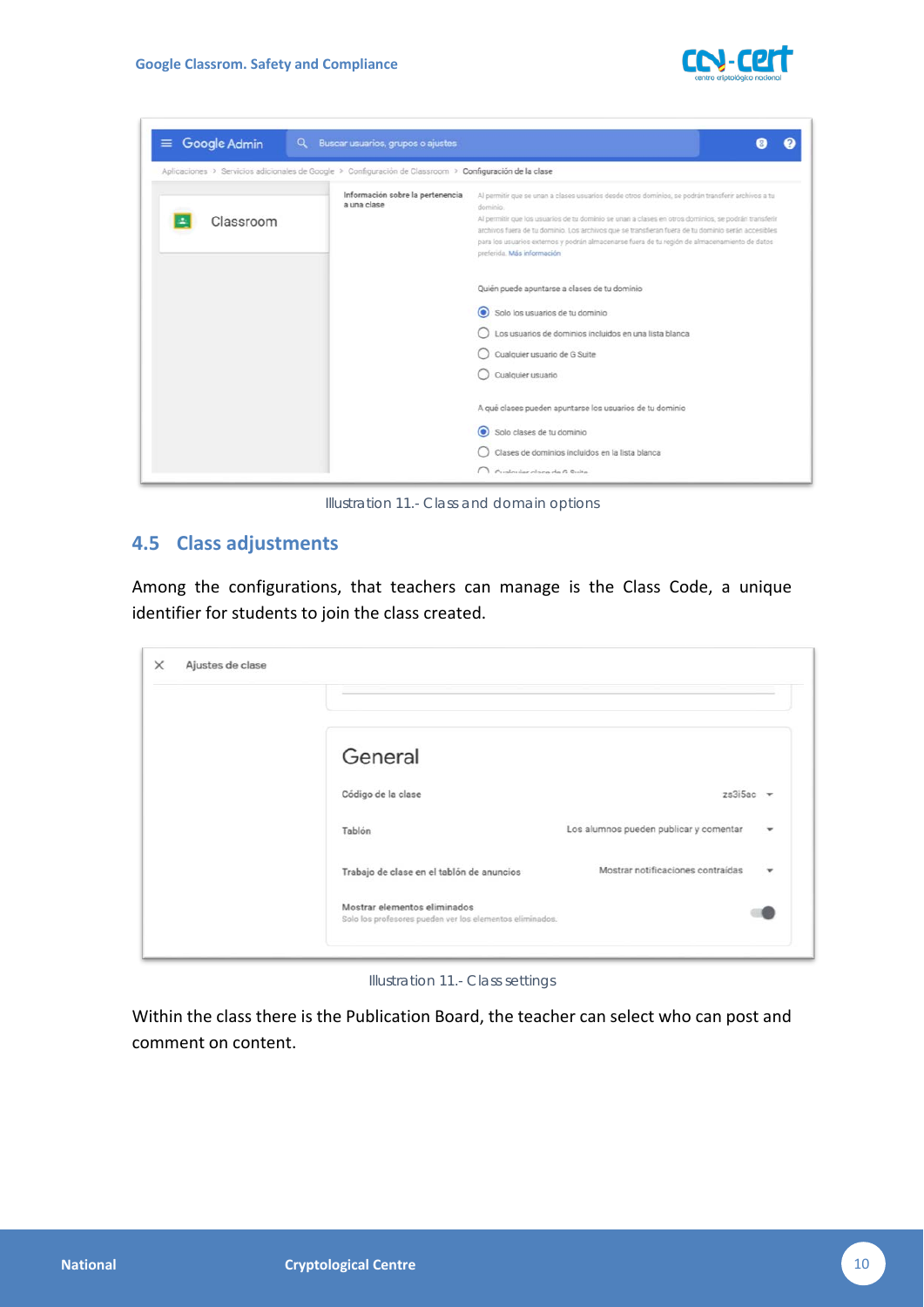



*Illustration 11.- Class and domain options*

# <span id="page-9-0"></span>**4.5 Class adjustments**

Among the configurations, that teachers can manage is the Class Code, a unique identifier for students to join the class created.

| General                                                                                  |                                        |                          |
|------------------------------------------------------------------------------------------|----------------------------------------|--------------------------|
| Código de la clase                                                                       | $zs3i5ac$ $\rightarrow$                |                          |
| Tablón                                                                                   | Los alumnos pueden publicar y comentar | $\overline{\phantom{a}}$ |
| Trabajo de clase en el tablón de anuncios                                                | Mostrar notificaciones contraídas      | ٠                        |
| Mostrar elementos eliminados<br>Solo los profesores pueden ver los elementos eliminados. |                                        |                          |

*Illustration 11.- Class settings*

Within the class there is the Publication Board, the teacher can select who can post and comment on content.